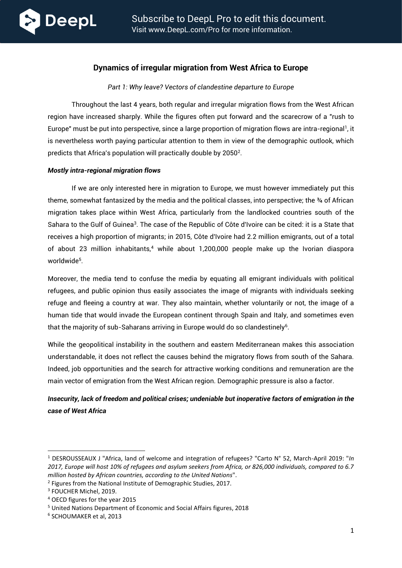

# **Dynamics of irregular migration from West Africa to Europe**

### *Part 1: Why leave? Vectors of clandestine departure to Europe*

Throughout the last 4 years, both regular and irregular migration flows from the West African region have increased sharply. While the figures often put forward and the scarecrow of a "rush to Europe" must be put into perspective, since a large proportion of migration flows are intra-regional<sup>1</sup>, it is nevertheless worth paying particular attention to them in view of the demographic outlook, which predicts that Africa's population will practically double by 2050 $^2$ .

### *Mostly intra-regional migration flows*

If we are only interested here in migration to Europe, we must however immediately put this theme, somewhat fantasized by the media and the political classes, into perspective; the <sup>34</sup> of African migration takes place within West Africa, particularly from the landlocked countries south of the Sahara to the Gulf of Guinea<sup>3</sup>. The case of the Republic of Côte d'Ivoire can be cited: it is a State that receives a high proportion of migrants; in 2015, Côte d'Ivoire had 2.2 million emigrants, out of a total of about 23 million inhabitants,<sup>4</sup> while about 1,200,000 people make up the Ivorian diaspora worldwide<sup>5</sup> .

Moreover, the media tend to confuse the media by equating all emigrant individuals with political refugees, and public opinion thus easily associates the image of migrants with individuals seeking refuge and fleeing a country at war. They also maintain, whether voluntarily or not, the image of a human tide that would invade the European continent through Spain and Italy, and sometimes even that the majority of sub-Saharans arriving in Europe would do so clandestinely $^6$ .

While the geopolitical instability in the southern and eastern Mediterranean makes this association understandable, it does not reflect the causes behind the migratory flows from south of the Sahara. Indeed, job opportunities and the search for attractive working conditions and remuneration are the main vector of emigration from the West African region. Demographic pressure is also a factor.

# *Insecurity, lack of freedom and political crises; undeniable but inoperative factors of emigration in the case of West Africa*

<sup>1</sup> DESROUSSEAUX J "Africa, land of welcome and integration of refugees? "Carto N° 52, March-April 2019: "*In 2017, Europe will host 10% of refugees and asylum seekers from Africa, or 826,000 individuals, compared to 6.7 million hosted by African countries, according to the United Nations*".

<sup>&</sup>lt;sup>2</sup> Figures from the National Institute of Demographic Studies, 2017.

<sup>3</sup> FOUCHER Michel, 2019.

<sup>4</sup> OECD figures for the year 2015

<sup>5</sup> United Nations Department of Economic and Social Affairs figures, 2018

<sup>6</sup> SCHOUMAKER et al, 2013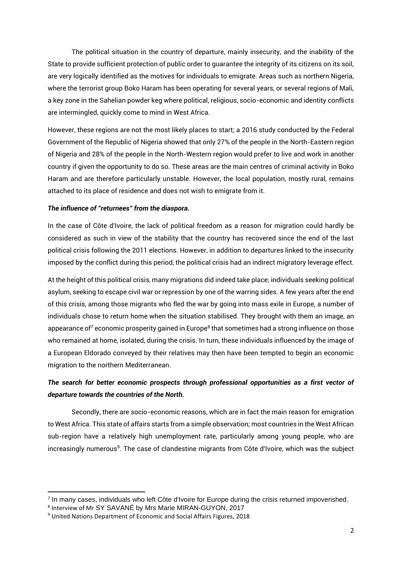The political situation in the country of departure, mainly insecurity, and the inability of the State to provide sufficient protection of public order to guarantee the integrity of its citizens on its soil, are very logically identified as the motives for individuals to emigrate. Areas such as northern Nigeria, where the terrorist group Boko Haram has been operating for several years, or several regions of Mali, a key zone in the Sahelian powder keg where political, religious, socio-economic and identity conflicts are intermingled, quickly come to mind in West Africa.

However, these regions are not the most likely places to start; a 2016 study conducted by the Federal Government of the Republic of Nigeria showed that only 27% of the people in the North-Eastern region of Nigeria and 28% of the people in the North-Western region would prefer to live and work in another country if given the opportunity to do so. These areas are the main centres of criminal activity in Boko Haram and are therefore particularly unstable. However, the local population, mostly rural, remains attached to its place of residence and does not wish to emigrate from it.

#### *The influence of "returnees" from the diaspora.*

In the case of Côte d'Ivoire, the lack of political freedom as a reason for migration could hardly be considered as such in view of the stability that the country has recovered since the end of the last political crisis following the 2011 elections. However, in addition to departures linked to the insecurity imposed by the conflict during this period, the political crisis had an indirect migratory leverage effect.

At the height of this political crisis, many migrations did indeed take place; individuals seeking political asylum, seeking to escape civil war or repression by one of the warring sides. A few years after the end of this crisis, among those migrants who fled the war by going into mass exile in Europe, a number of individuals chose to return home when the situation stabilised. They brought with them an image, an appearance of<sup>7</sup> economic prosperity gained in Europe<sup>8</sup> that sometimes had a strong influence on those who remained at home, isolated, during the crisis. In turn, these individuals influenced by the image of a European Eldorado conveyed by their relatives may then have been tempted to begin an economic migration to the northern Mediterranean.

# *The search for better economic prospects through professional opportunities as a first vector of departure towards the countries of the North.*

Secondly, there are socio-economic reasons, which are in fact the main reason for emigration to West Africa. This state of affairs starts from a simple observation; most countries in the West African sub-region have a relatively high unemployment rate, particularly among young people, who are increasingly numerous<sup>9</sup>. The case of clandestine migrants from Côte d'Ivoire, which was the subject

<sup>&</sup>lt;sup>7</sup> In many cases, individuals who left Côte d'Ivoire for Europe during the crisis returned impoverished.

<sup>8</sup> Interview of Mr SY SAVANÉ by Mrs Marie MIRAN-GUYON, 2017

<sup>9</sup> United Nations Department of Economic and Social Affairs Figures, 2018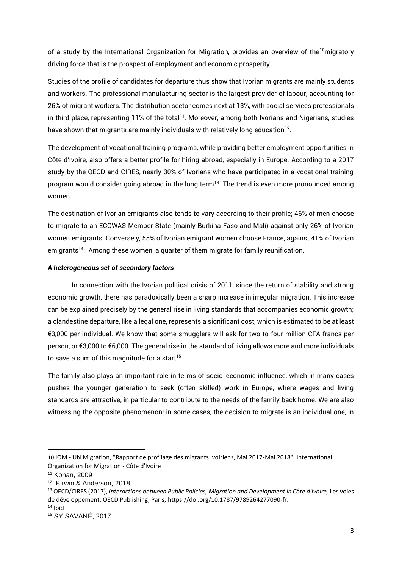of a study by the International Organization for Migration, provides an overview of the<sup>10</sup>migratory driving force that is the prospect of employment and economic prosperity.

Studies of the profile of candidates for departure thus show that Ivorian migrants are mainly students and workers. The professional manufacturing sector is the largest provider of labour, accounting for 26% of migrant workers. The distribution sector comes next at 13%, with social services professionals in third place, representing 11% of the total<sup>11</sup>. Moreover, among both Ivorians and Nigerians, studies have shown that migrants are mainly individuals with relatively long education $^{12}\!.$ 

The development of vocational training programs, while providing better employment opportunities in Côte d'Ivoire, also offers a better profile for hiring abroad, especially in Europe. According to a 2017 study by the OECD and CIRES, nearly 30% of Ivorians who have participated in a vocational training program would consider going abroad in the long term<sup>13</sup>. The trend is even more pronounced among women.

The destination of Ivorian emigrants also tends to vary according to their profile; 46% of men choose to migrate to an ECOWAS Member State (mainly Burkina Faso and Mali) against only 26% of Ivorian women emigrants. Conversely, 55% of Ivorian emigrant women choose France, against 41% of Ivorian emigrants<sup>14</sup>. Among these women, a quarter of them migrate for family reunification.

### *A heterogeneous set of secondary factors*

In connection with the Ivorian political crisis of 2011, since the return of stability and strong economic growth, there has paradoxically been a sharp increase in irregular migration. This increase can be explained precisely by the general rise in living standards that accompanies economic growth; a clandestine departure, like a legal one, represents a significant cost, which is estimated to be at least €3,000 per individual. We know that some smugglers will ask for two to four million CFA francs per person, or €3,000 to €6,000. The general rise in the standard of living allows more and more individuals to save a sum of this magnitude for a start $^{15}$ .

The family also plays an important role in terms of socio-economic influence, which in many cases pushes the younger generation to seek (often skilled) work in Europe, where wages and living standards are attractive, in particular to contribute to the needs of the family back home. We are also witnessing the opposite phenomenon: in some cases, the decision to migrate is an individual one, in

<sup>10</sup> IOM - UN Migration, "Rapport de profilage des migrants Ivoiriens, Mai 2017-Mai 2018", International Organization for Migration - Côte d'Ivoire

<sup>11</sup> Konan, 2009

<sup>12</sup> Kirwin & Anderson, 2018.

<sup>13</sup> OECD/CIRES (2017), *Interactions between Public Policies, Migration and Development in Côte d'Ivoire,* Les voies de développement, OECD Publishing, Paris, [h](https://doi.org/10.1787/9789264277090-fr)ttps://doi.org/10.1787/9789264277090-fr.

 $14$  Ibid

<sup>15</sup> SY SAVANÉ, 2017.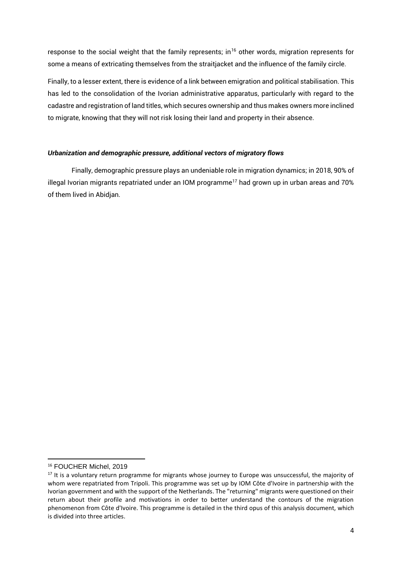response to the social weight that the family represents; in<sup>16</sup> other words, migration represents for some a means of extricating themselves from the straitjacket and the influence of the family circle.

Finally, to a lesser extent, there is evidence of a link between emigration and political stabilisation. This has led to the consolidation of the Ivorian administrative apparatus, particularly with regard to the cadastre and registration of land titles, which secures ownership and thus makes owners more inclined to migrate, knowing that they will not risk losing their land and property in their absence.

### *Urbanization and demographic pressure, additional vectors of migratory flows*

Finally, demographic pressure plays an undeniable role in migration dynamics; in 2018, 90% of illegal Ivorian migrants repatriated under an IOM programme<sup>17</sup> had grown up in urban areas and 70% of them lived in Abidjan.

<sup>&</sup>lt;sup>16</sup> FOUCHER Michel, 2019

 $17$  It is a voluntary return programme for migrants whose journey to Europe was unsuccessful, the majority of whom were repatriated from Tripoli. This programme was set up by IOM Côte d'Ivoire in partnership with the Ivorian government and with the support of the Netherlands. The "returning" migrants were questioned on their return about their profile and motivations in order to better understand the contours of the migration phenomenon from Côte d'Ivoire. This programme is detailed in the third opus of this analysis document, which is divided into three articles.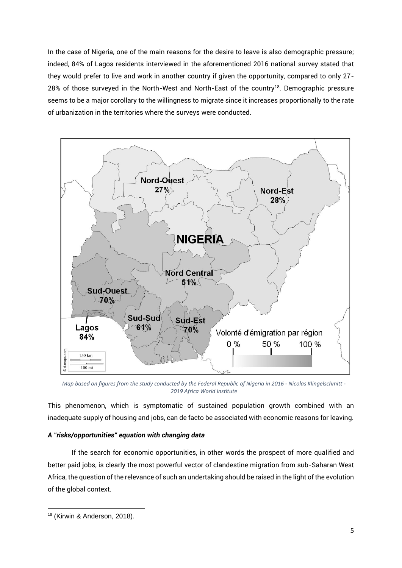In the case of Nigeria, one of the main reasons for the desire to leave is also demographic pressure; indeed, 84% of Lagos residents interviewed in the aforementioned 2016 national survey stated that they would prefer to live and work in another country if given the opportunity, compared to only 27- 28% of those surveyed in the North-West and North-East of the country<sup>18</sup>. Demographic pressure seems to be a major corollary to the willingness to migrate since it increases proportionally to the rate of urbanization in the territories where the surveys were conducted.



*Map based on figures from the study conducted by the Federal Republic of Nigeria in 2016 - Nicolas Klingelschmitt - 2019 Africa World Institute*

This phenomenon, which is symptomatic of sustained population growth combined with an inadequate supply of housing and jobs, can de facto be associated with economic reasons for leaving.

#### *A "risks/opportunities" equation with changing data*

If the search for economic opportunities, in other words the prospect of more qualified and better paid jobs, is clearly the most powerful vector of clandestine migration from sub-Saharan West Africa, the question of the relevance of such an undertaking should be raised in the light of the evolution of the global context.

<sup>18</sup> (Kirwin & Anderson, 2018).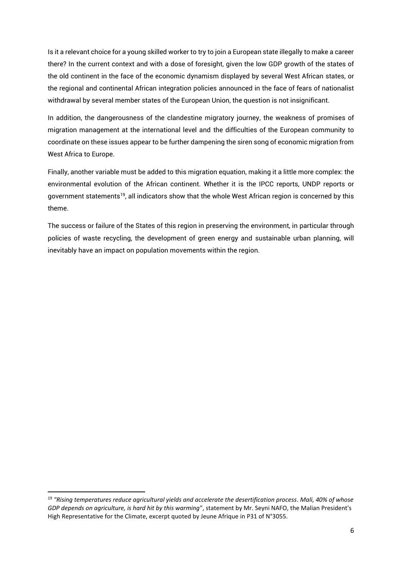Is it a relevant choice for a young skilled worker to try to join a European state illegally to make a career there? In the current context and with a dose of foresight, given the low GDP growth of the states of the old continent in the face of the economic dynamism displayed by several West African states, or the regional and continental African integration policies announced in the face of fears of nationalist withdrawal by several member states of the European Union, the question is not insignificant.

In addition, the dangerousness of the clandestine migratory journey, the weakness of promises of migration management at the international level and the difficulties of the European community to coordinate on these issues appear to be further dampening the siren song of economic migration from West Africa to Europe.

Finally, another variable must be added to this migration equation, making it a little more complex: the environmental evolution of the African continent. Whether it is the IPCC reports, UNDP reports or government statements<sup>19</sup>, all indicators show that the whole West African region is concerned by this theme.

The success or failure of the States of this region in preserving the environment, in particular through policies of waste recycling, the development of green energy and sustainable urban planning, will inevitably have an impact on population movements within the region.

<sup>19</sup> *"Rising temperatures reduce agricultural yields and accelerate the desertification process*. *Mali, 40% of whose GDP depends on agriculture, is hard hit by this warming*", statement by Mr. Seyni NAFO, the Malian President's High Representative for the Climate, excerpt quoted by Jeune Afrique in P31 of N°3055.